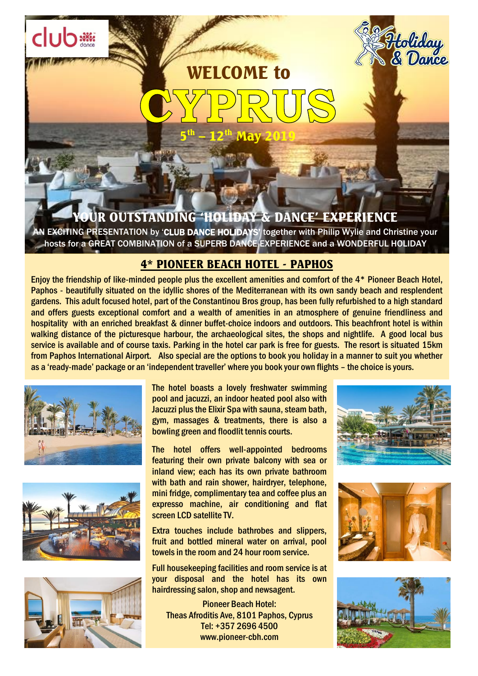# WELCOME to 5 th – 12<sup>th</sup> May 2019

## UR OUTSTANDING 'HOLIDAY & DANC<del>E' EXPER</del>IENCE

**AN EXCITING PRESENTATION by 'CLUB DANCE HOLIDAYS'** together with Philip Wylie and Christine your hosts for a GREAT COMBINATION of a SUPERB DANCE EXPERIENCE and a WONDERFUL HOLIDAY

### 4\* PIONEER BEACH HOTEL - PAPHOS

walking distance of the picturesque harbour, the archaeological sites, the shops and nightlife. A good local bus<br>service is available and of course taxis. Parking in the hotel car park is free for guests. The resort is si **from Paphos International Airport.** Also special are the options to book you holiday in a manner to suit you whether Enjoy the friendship of like-minded people plus the excellent amenities and comfort of the 4\* Pioneer Beach Hotel, Paphos - beautifully situated on the idyllic shores of the Mediterranean with its own sandy beach and resplendent gardens. This adult focused hotel, part of the Constantinou Bros group, has been fully refurbished to a high standard and offers guests exceptional comfort and a wealth of amenities in an atmosphere of genuine friendliness and hospitality with an enriched breakfast & dinner buffet-choice indoors and outdoors. This beachfront hotel is within walking distance of the picturesque harbour, the archaeological sites, the shops and nightlife. A good local bus as a 'ready-made' package or an 'independent traveller' where you book your own flights – the choice is yours.



club<sup>\*</sup>





The hotel boasts a lovely freshwater swimming pool and jacuzzi, an indoor heated pool also with Jacuzzi plus the Elixir Spa with sauna, steam bath, gym, massages & treatments, there is also a bowling green and floodlit tennis courts.

The hotel offers well-appointed bedrooms featuring their own private balcony with sea or inland view; each has its own private bathroom with bath and rain shower, hairdryer, telephone, mini fridge, complimentary tea and coffee plus an expresso machine, air conditioning and flat screen LCD satellite TV.

Extra touches include bathrobes and slippers, fruit and bottled mineral water on arrival, pool towels in the room and 24 hour room service.

Full housekeeping facilities and room service is at your disposal and the hotel has its own hairdressing salon, shop and newsagent.

Pioneer Beach Hotel: Theas Afroditis Ave, 8101 Paphos, Cyprus Tel: +357 2696 4500 www.pioneer-cbh.com



<del>Pito</del>liday<br>. & Dance